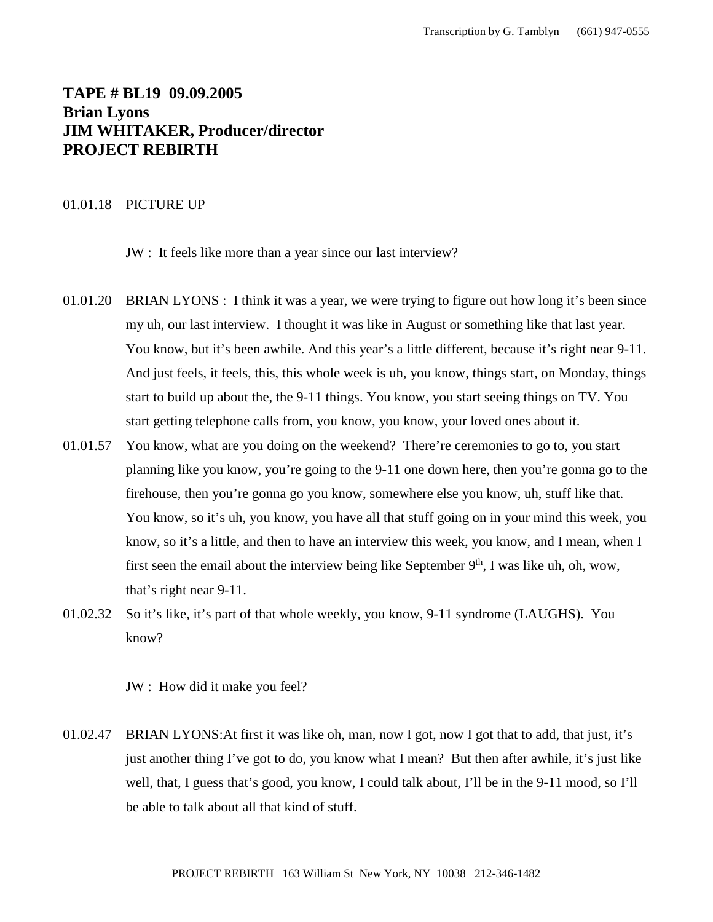# **TAPE # BL19 09.09.2005 Brian Lyons JIM WHITAKER, Producer/director PROJECT REBIRTH**

### 01.01.18 PICTURE UP

JW : It feels like more than a year since our last interview?

- 01.01.20 BRIAN LYONS : I think it was a year, we were trying to figure out how long it's been since my uh, our last interview. I thought it was like in August or something like that last year. You know, but it's been awhile. And this year's a little different, because it's right near 9-11. And just feels, it feels, this, this whole week is uh, you know, things start, on Monday, things start to build up about the, the 9-11 things. You know, you start seeing things on TV. You start getting telephone calls from, you know, you know, your loved ones about it.
- 01.01.57 You know, what are you doing on the weekend? There're ceremonies to go to, you start planning like you know, you're going to the 9-11 one down here, then you're gonna go to the firehouse, then you're gonna go you know, somewhere else you know, uh, stuff like that. You know, so it's uh, you know, you have all that stuff going on in your mind this week, you know, so it's a little, and then to have an interview this week, you know, and I mean, when I first seen the email about the interview being like September  $9<sup>th</sup>$ , I was like uh, oh, wow, that's right near 9-11.
- 01.02.32 So it's like, it's part of that whole weekly, you know, 9-11 syndrome (LAUGHS). You know?

JW : How did it make you feel?

01.02.47 BRIAN LYONS:At first it was like oh, man, now I got, now I got that to add, that just, it's just another thing I've got to do, you know what I mean? But then after awhile, it's just like well, that, I guess that's good, you know, I could talk about, I'll be in the 9-11 mood, so I'll be able to talk about all that kind of stuff.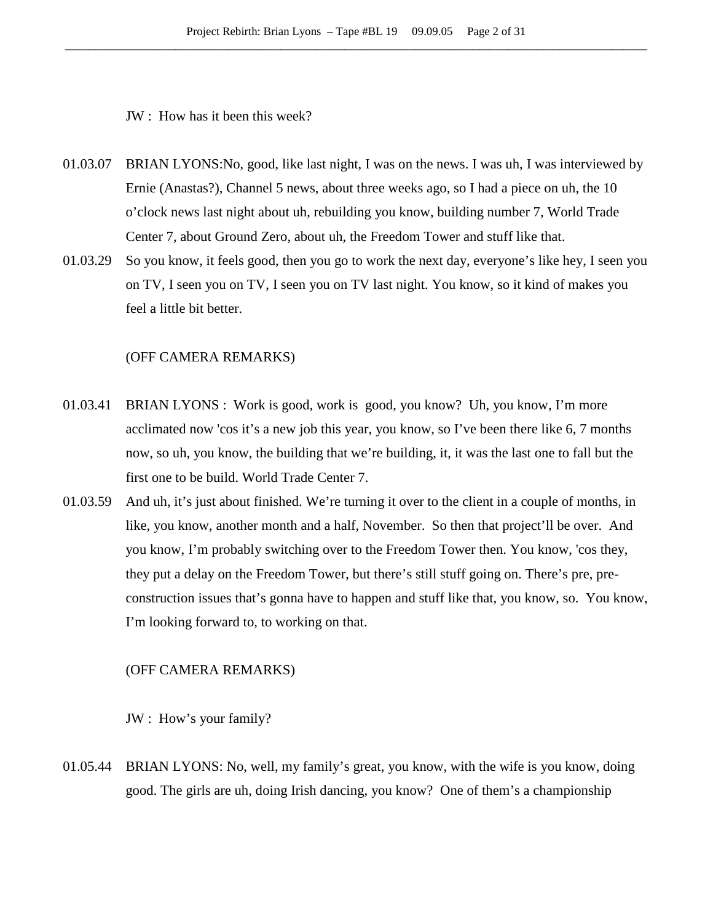JW : How has it been this week?

- 01.03.07 BRIAN LYONS:No, good, like last night, I was on the news. I was uh, I was interviewed by Ernie (Anastas?), Channel 5 news, about three weeks ago, so I had a piece on uh, the 10 o'clock news last night about uh, rebuilding you know, building number 7, World Trade Center 7, about Ground Zero, about uh, the Freedom Tower and stuff like that.
- 01.03.29 So you know, it feels good, then you go to work the next day, everyone's like hey, I seen you on TV, I seen you on TV, I seen you on TV last night. You know, so it kind of makes you feel a little bit better.

### (OFF CAMERA REMARKS)

- 01.03.41 BRIAN LYONS : Work is good, work is good, you know? Uh, you know, I'm more acclimated now 'cos it's a new job this year, you know, so I've been there like 6, 7 months now, so uh, you know, the building that we're building, it, it was the last one to fall but the first one to be build. World Trade Center 7.
- 01.03.59 And uh, it's just about finished. We're turning it over to the client in a couple of months, in like, you know, another month and a half, November. So then that project'll be over. And you know, I'm probably switching over to the Freedom Tower then. You know, 'cos they, they put a delay on the Freedom Tower, but there's still stuff going on. There's pre, preconstruction issues that's gonna have to happen and stuff like that, you know, so. You know, I'm looking forward to, to working on that.

### (OFF CAMERA REMARKS)

JW : How's your family?

01.05.44 BRIAN LYONS: No, well, my family's great, you know, with the wife is you know, doing good. The girls are uh, doing Irish dancing, you know? One of them's a championship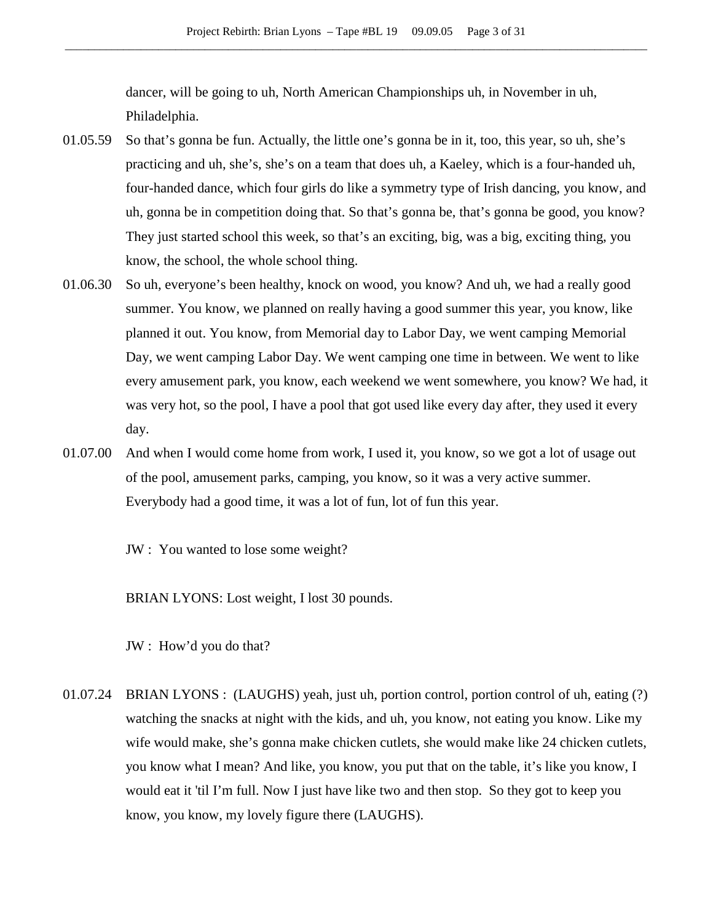dancer, will be going to uh, North American Championships uh, in November in uh, Philadelphia.

- 01.05.59 So that's gonna be fun. Actually, the little one's gonna be in it, too, this year, so uh, she's practicing and uh, she's, she's on a team that does uh, a Kaeley, which is a four-handed uh, four-handed dance, which four girls do like a symmetry type of Irish dancing, you know, and uh, gonna be in competition doing that. So that's gonna be, that's gonna be good, you know? They just started school this week, so that's an exciting, big, was a big, exciting thing, you know, the school, the whole school thing.
- 01.06.30 So uh, everyone's been healthy, knock on wood, you know? And uh, we had a really good summer. You know, we planned on really having a good summer this year, you know, like planned it out. You know, from Memorial day to Labor Day, we went camping Memorial Day, we went camping Labor Day. We went camping one time in between. We went to like every amusement park, you know, each weekend we went somewhere, you know? We had, it was very hot, so the pool, I have a pool that got used like every day after, they used it every day.
- 01.07.00 And when I would come home from work, I used it, you know, so we got a lot of usage out of the pool, amusement parks, camping, you know, so it was a very active summer. Everybody had a good time, it was a lot of fun, lot of fun this year.

JW : You wanted to lose some weight?

BRIAN LYONS: Lost weight, I lost 30 pounds.

JW : How'd you do that?

01.07.24 BRIAN LYONS : (LAUGHS) yeah, just uh, portion control, portion control of uh, eating (?) watching the snacks at night with the kids, and uh, you know, not eating you know. Like my wife would make, she's gonna make chicken cutlets, she would make like 24 chicken cutlets, you know what I mean? And like, you know, you put that on the table, it's like you know, I would eat it 'til I'm full. Now I just have like two and then stop. So they got to keep you know, you know, my lovely figure there (LAUGHS).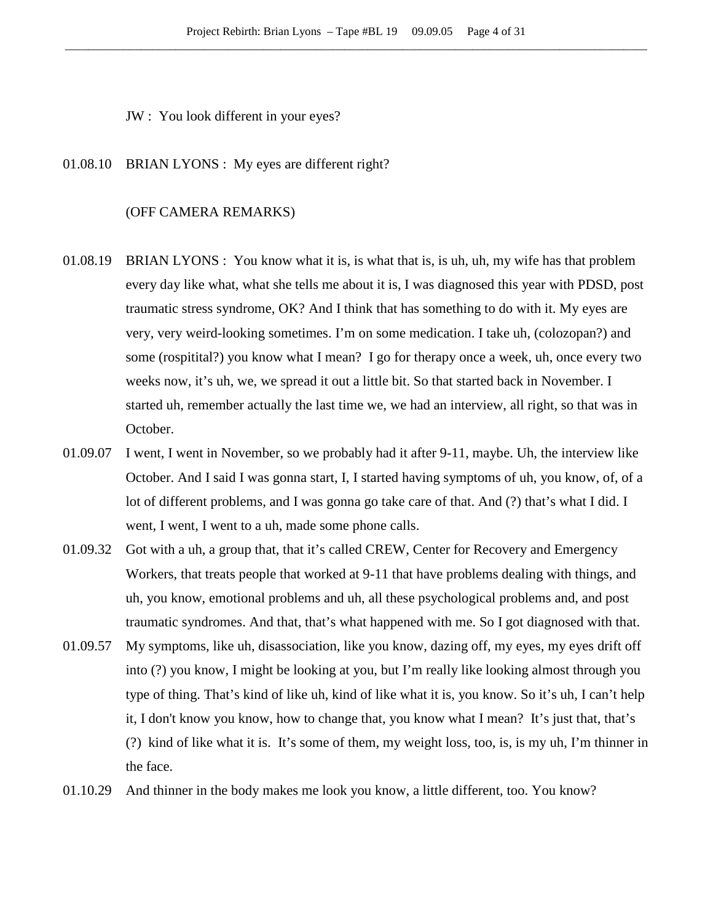JW : You look different in your eyes?

01.08.10 BRIAN LYONS : My eyes are different right?

### (OFF CAMERA REMARKS)

- 01.08.19 BRIAN LYONS : You know what it is, is what that is, is uh, uh, my wife has that problem every day like what, what she tells me about it is, I was diagnosed this year with PDSD, post traumatic stress syndrome, OK? And I think that has something to do with it. My eyes are very, very weird-looking sometimes. I'm on some medication. I take uh, (colozopan?) and some (rospitital?) you know what I mean? I go for therapy once a week, uh, once every two weeks now, it's uh, we, we spread it out a little bit. So that started back in November. I started uh, remember actually the last time we, we had an interview, all right, so that was in October.
- 01.09.07 I went, I went in November, so we probably had it after 9-11, maybe. Uh, the interview like October. And I said I was gonna start, I, I started having symptoms of uh, you know, of, of a lot of different problems, and I was gonna go take care of that. And (?) that's what I did. I went, I went, I went to a uh, made some phone calls.
- 01.09.32 Got with a uh, a group that, that it's called CREW, Center for Recovery and Emergency Workers, that treats people that worked at 9-11 that have problems dealing with things, and uh, you know, emotional problems and uh, all these psychological problems and, and post traumatic syndromes. And that, that's what happened with me. So I got diagnosed with that.
- 01.09.57 My symptoms, like uh, disassociation, like you know, dazing off, my eyes, my eyes drift off into (?) you know, I might be looking at you, but I'm really like looking almost through you type of thing. That's kind of like uh, kind of like what it is, you know. So it's uh, I can't help it, I don't know you know, how to change that, you know what I mean? It's just that, that's (?) kind of like what it is. It's some of them, my weight loss, too, is, is my uh, I'm thinner in the face.
- 01.10.29 And thinner in the body makes me look you know, a little different, too. You know?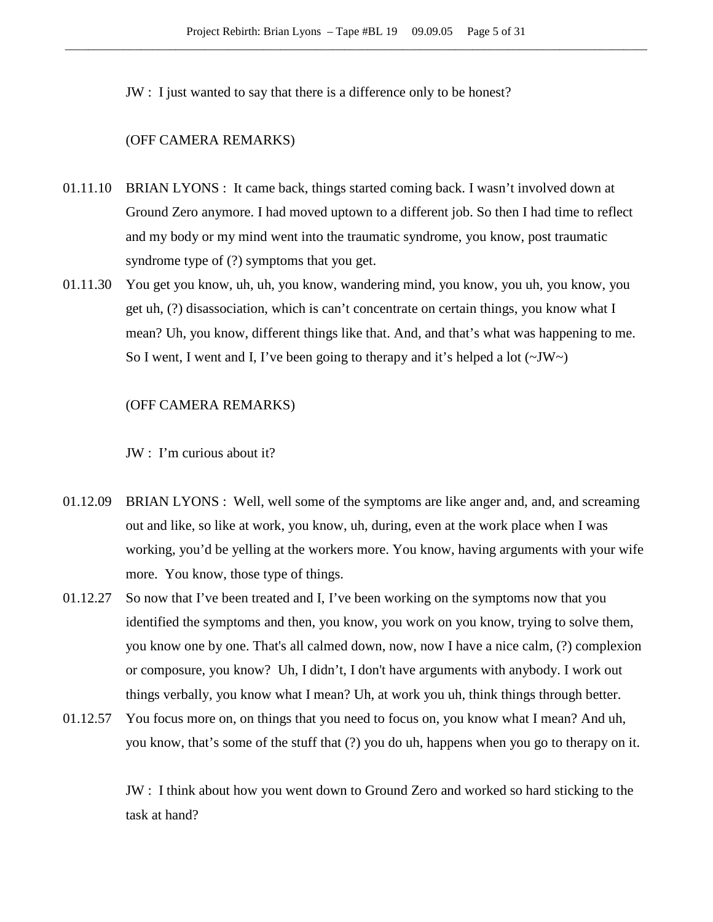JW : I just wanted to say that there is a difference only to be honest?

## (OFF CAMERA REMARKS)

- 01.11.10 BRIAN LYONS : It came back, things started coming back. I wasn't involved down at Ground Zero anymore. I had moved uptown to a different job. So then I had time to reflect and my body or my mind went into the traumatic syndrome, you know, post traumatic syndrome type of (?) symptoms that you get.
- 01.11.30 You get you know, uh, uh, you know, wandering mind, you know, you uh, you know, you get uh, (?) disassociation, which is can't concentrate on certain things, you know what I mean? Uh, you know, different things like that. And, and that's what was happening to me. So I went, I went and I, I've been going to therapy and it's helped a lot  $(\sim JW)$ .

### (OFF CAMERA REMARKS)

### JW : I'm curious about it?

- 01.12.09 BRIAN LYONS : Well, well some of the symptoms are like anger and, and, and screaming out and like, so like at work, you know, uh, during, even at the work place when I was working, you'd be yelling at the workers more. You know, having arguments with your wife more. You know, those type of things.
- 01.12.27 So now that I've been treated and I, I've been working on the symptoms now that you identified the symptoms and then, you know, you work on you know, trying to solve them, you know one by one. That's all calmed down, now, now I have a nice calm, (?) complexion or composure, you know? Uh, I didn't, I don't have arguments with anybody. I work out things verbally, you know what I mean? Uh, at work you uh, think things through better.
- 01.12.57 You focus more on, on things that you need to focus on, you know what I mean? And uh, you know, that's some of the stuff that (?) you do uh, happens when you go to therapy on it.

JW : I think about how you went down to Ground Zero and worked so hard sticking to the task at hand?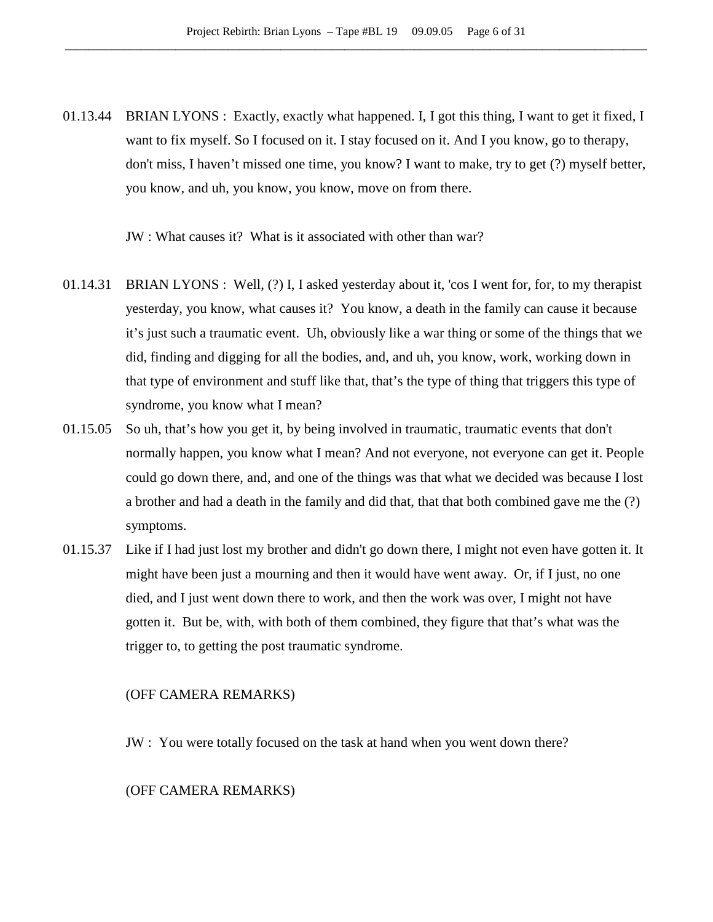01.13.44 BRIAN LYONS : Exactly, exactly what happened. I, I got this thing, I want to get it fixed, I want to fix myself. So I focused on it. I stay focused on it. And I you know, go to therapy, don't miss, I haven't missed one time, you know? I want to make, try to get (?) myself better, you know, and uh, you know, you know, move on from there.

JW : What causes it? What is it associated with other than war?

- 01.14.31 BRIAN LYONS : Well, (?) I, I asked yesterday about it, 'cos I went for, for, to my therapist yesterday, you know, what causes it? You know, a death in the family can cause it because it's just such a traumatic event. Uh, obviously like a war thing or some of the things that we did, finding and digging for all the bodies, and, and uh, you know, work, working down in that type of environment and stuff like that, that's the type of thing that triggers this type of syndrome, you know what I mean?
- 01.15.05 So uh, that's how you get it, by being involved in traumatic, traumatic events that don't normally happen, you know what I mean? And not everyone, not everyone can get it. People could go down there, and, and one of the things was that what we decided was because I lost a brother and had a death in the family and did that, that that both combined gave me the (?) symptoms.
- 01.15.37 Like if I had just lost my brother and didn't go down there, I might not even have gotten it. It might have been just a mourning and then it would have went away. Or, if I just, no one died, and I just went down there to work, and then the work was over, I might not have gotten it. But be, with, with both of them combined, they figure that that's what was the trigger to, to getting the post traumatic syndrome.

## (OFF CAMERA REMARKS)

JW : You were totally focused on the task at hand when you went down there?

## (OFF CAMERA REMARKS)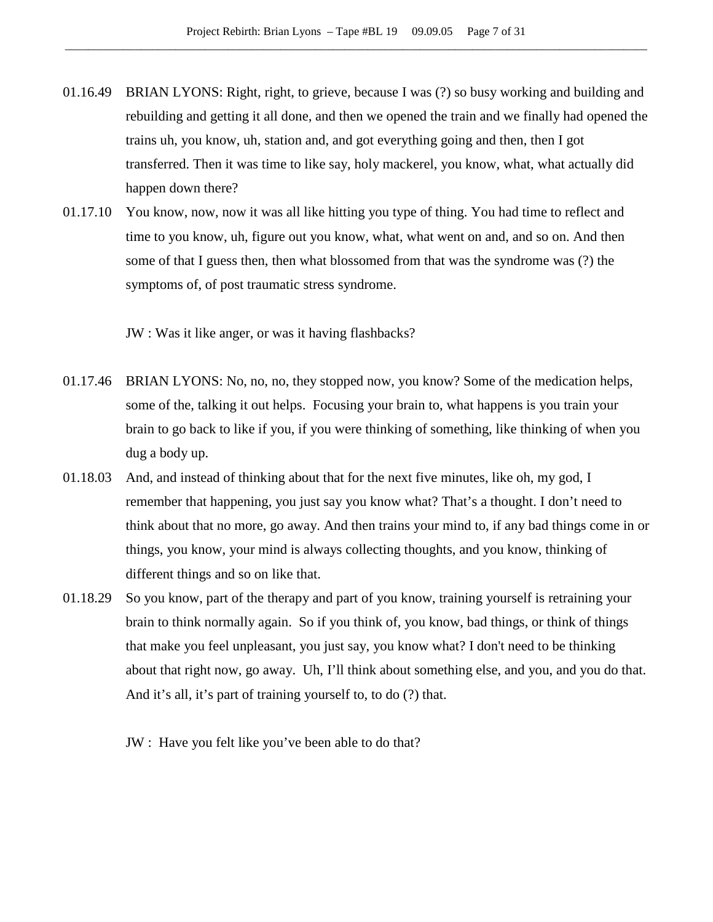- 01.16.49 BRIAN LYONS: Right, right, to grieve, because I was (?) so busy working and building and rebuilding and getting it all done, and then we opened the train and we finally had opened the trains uh, you know, uh, station and, and got everything going and then, then I got transferred. Then it was time to like say, holy mackerel, you know, what, what actually did happen down there?
- 01.17.10 You know, now, now it was all like hitting you type of thing. You had time to reflect and time to you know, uh, figure out you know, what, what went on and, and so on. And then some of that I guess then, then what blossomed from that was the syndrome was (?) the symptoms of, of post traumatic stress syndrome.

JW : Was it like anger, or was it having flashbacks?

- 01.17.46 BRIAN LYONS: No, no, no, they stopped now, you know? Some of the medication helps, some of the, talking it out helps. Focusing your brain to, what happens is you train your brain to go back to like if you, if you were thinking of something, like thinking of when you dug a body up.
- 01.18.03 And, and instead of thinking about that for the next five minutes, like oh, my god, I remember that happening, you just say you know what? That's a thought. I don't need to think about that no more, go away. And then trains your mind to, if any bad things come in or things, you know, your mind is always collecting thoughts, and you know, thinking of different things and so on like that.
- 01.18.29 So you know, part of the therapy and part of you know, training yourself is retraining your brain to think normally again. So if you think of, you know, bad things, or think of things that make you feel unpleasant, you just say, you know what? I don't need to be thinking about that right now, go away. Uh, I'll think about something else, and you, and you do that. And it's all, it's part of training yourself to, to do (?) that.
	- JW : Have you felt like you've been able to do that?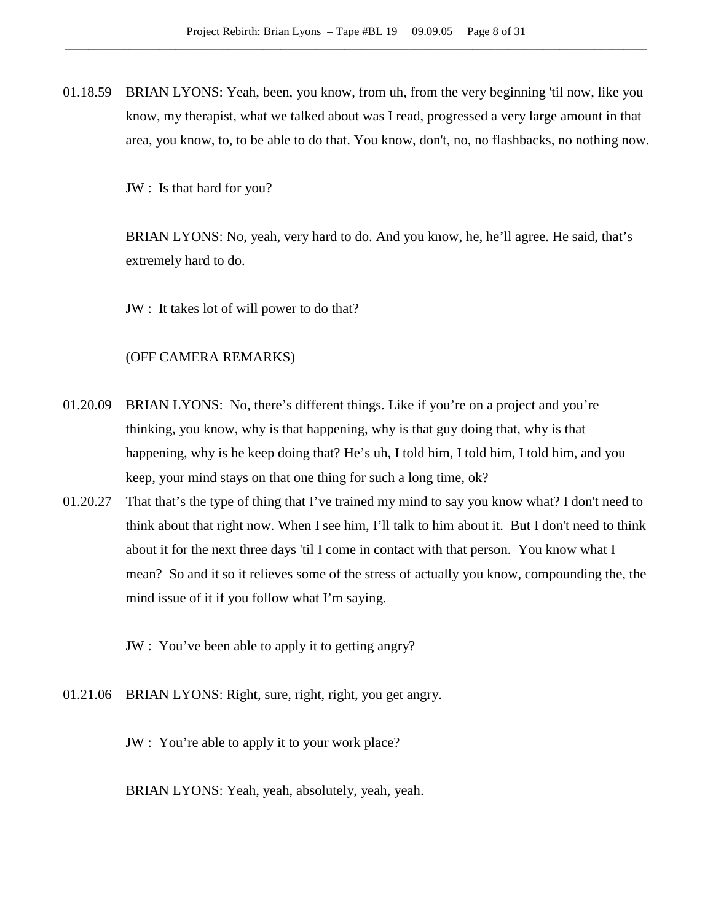01.18.59 BRIAN LYONS: Yeah, been, you know, from uh, from the very beginning 'til now, like you know, my therapist, what we talked about was I read, progressed a very large amount in that area, you know, to, to be able to do that. You know, don't, no, no flashbacks, no nothing now.

JW : Is that hard for you?

BRIAN LYONS: No, yeah, very hard to do. And you know, he, he'll agree. He said, that's extremely hard to do.

JW : It takes lot of will power to do that?

#### (OFF CAMERA REMARKS)

- 01.20.09 BRIAN LYONS: No, there's different things. Like if you're on a project and you're thinking, you know, why is that happening, why is that guy doing that, why is that happening, why is he keep doing that? He's uh, I told him, I told him, I told him, and you keep, your mind stays on that one thing for such a long time, ok?
- 01.20.27 That that's the type of thing that I've trained my mind to say you know what? I don't need to think about that right now. When I see him, I'll talk to him about it. But I don't need to think about it for the next three days 'til I come in contact with that person. You know what I mean? So and it so it relieves some of the stress of actually you know, compounding the, the mind issue of it if you follow what I'm saying.

JW : You've been able to apply it to getting angry?

01.21.06 BRIAN LYONS: Right, sure, right, right, you get angry.

JW : You're able to apply it to your work place?

BRIAN LYONS: Yeah, yeah, absolutely, yeah, yeah.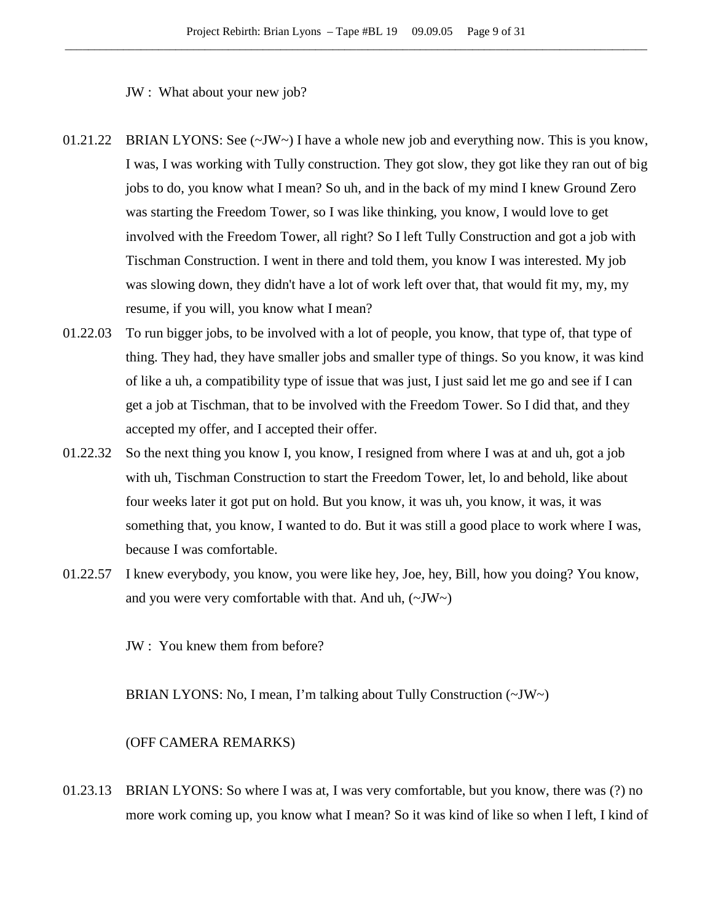JW : What about your new job?

- 01.21.22 BRIAN LYONS: See (~JW~) I have a whole new job and everything now. This is you know, I was, I was working with Tully construction. They got slow, they got like they ran out of big jobs to do, you know what I mean? So uh, and in the back of my mind I knew Ground Zero was starting the Freedom Tower, so I was like thinking, you know, I would love to get involved with the Freedom Tower, all right? So I left Tully Construction and got a job with Tischman Construction. I went in there and told them, you know I was interested. My job was slowing down, they didn't have a lot of work left over that, that would fit my, my, my resume, if you will, you know what I mean?
- 01.22.03 To run bigger jobs, to be involved with a lot of people, you know, that type of, that type of thing. They had, they have smaller jobs and smaller type of things. So you know, it was kind of like a uh, a compatibility type of issue that was just, I just said let me go and see if I can get a job at Tischman, that to be involved with the Freedom Tower. So I did that, and they accepted my offer, and I accepted their offer.
- 01.22.32 So the next thing you know I, you know, I resigned from where I was at and uh, got a job with uh, Tischman Construction to start the Freedom Tower, let, lo and behold, like about four weeks later it got put on hold. But you know, it was uh, you know, it was, it was something that, you know, I wanted to do. But it was still a good place to work where I was, because I was comfortable.
- 01.22.57 I knew everybody, you know, you were like hey, Joe, hey, Bill, how you doing? You know, and you were very comfortable with that. And uh,  $(\sim JW)$

JW : You knew them from before?

BRIAN LYONS: No, I mean, I'm talking about Tully Construction (~JW~)

## (OFF CAMERA REMARKS)

01.23.13 BRIAN LYONS: So where I was at, I was very comfortable, but you know, there was (?) no more work coming up, you know what I mean? So it was kind of like so when I left, I kind of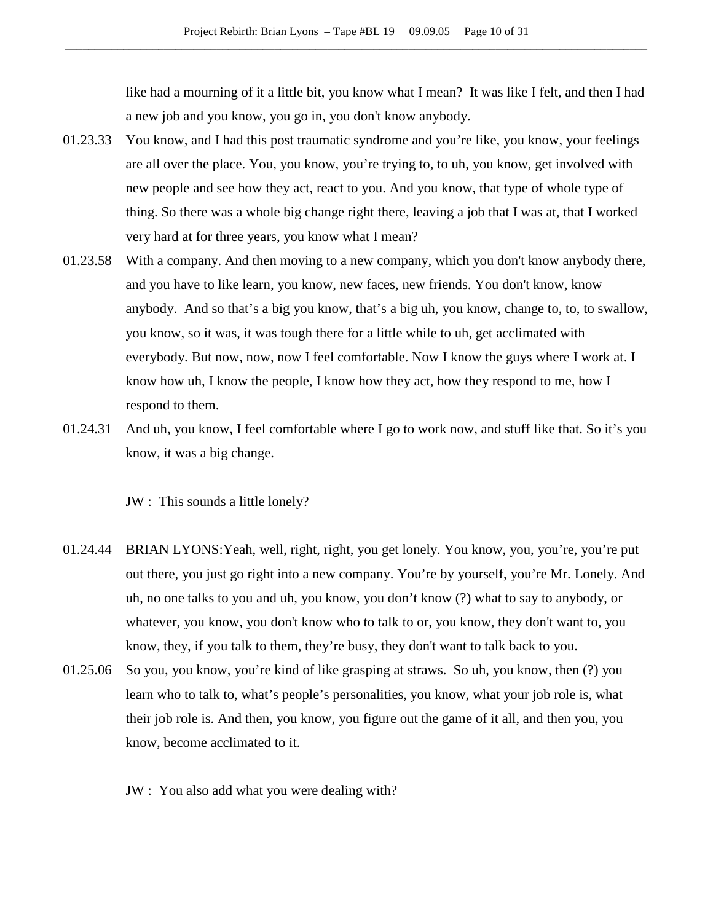like had a mourning of it a little bit, you know what I mean? It was like I felt, and then I had a new job and you know, you go in, you don't know anybody.

- 01.23.33 You know, and I had this post traumatic syndrome and you're like, you know, your feelings are all over the place. You, you know, you're trying to, to uh, you know, get involved with new people and see how they act, react to you. And you know, that type of whole type of thing. So there was a whole big change right there, leaving a job that I was at, that I worked very hard at for three years, you know what I mean?
- 01.23.58 With a company. And then moving to a new company, which you don't know anybody there, and you have to like learn, you know, new faces, new friends. You don't know, know anybody. And so that's a big you know, that's a big uh, you know, change to, to, to swallow, you know, so it was, it was tough there for a little while to uh, get acclimated with everybody. But now, now, now I feel comfortable. Now I know the guys where I work at. I know how uh, I know the people, I know how they act, how they respond to me, how I respond to them.
- 01.24.31 And uh, you know, I feel comfortable where I go to work now, and stuff like that. So it's you know, it was a big change.

JW : This sounds a little lonely?

- 01.24.44 BRIAN LYONS:Yeah, well, right, right, you get lonely. You know, you, you're, you're put out there, you just go right into a new company. You're by yourself, you're Mr. Lonely. And uh, no one talks to you and uh, you know, you don't know (?) what to say to anybody, or whatever, you know, you don't know who to talk to or, you know, they don't want to, you know, they, if you talk to them, they're busy, they don't want to talk back to you.
- 01.25.06 So you, you know, you're kind of like grasping at straws. So uh, you know, then (?) you learn who to talk to, what's people's personalities, you know, what your job role is, what their job role is. And then, you know, you figure out the game of it all, and then you, you know, become acclimated to it.
	- JW : You also add what you were dealing with?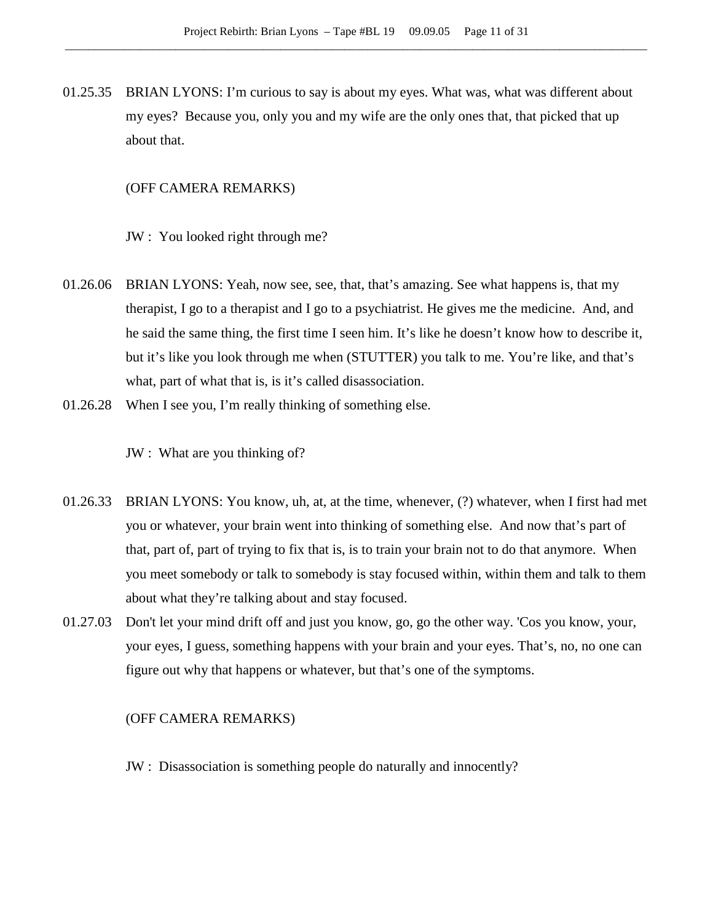01.25.35 BRIAN LYONS: I'm curious to say is about my eyes. What was, what was different about my eyes? Because you, only you and my wife are the only ones that, that picked that up about that.

### (OFF CAMERA REMARKS)

JW : You looked right through me?

- 01.26.06 BRIAN LYONS: Yeah, now see, see, that, that's amazing. See what happens is, that my therapist, I go to a therapist and I go to a psychiatrist. He gives me the medicine. And, and he said the same thing, the first time I seen him. It's like he doesn't know how to describe it, but it's like you look through me when (STUTTER) you talk to me. You're like, and that's what, part of what that is, is it's called disassociation.
- 01.26.28 When I see you, I'm really thinking of something else.

JW : What are you thinking of?

- 01.26.33 BRIAN LYONS: You know, uh, at, at the time, whenever, (?) whatever, when I first had met you or whatever, your brain went into thinking of something else. And now that's part of that, part of, part of trying to fix that is, is to train your brain not to do that anymore. When you meet somebody or talk to somebody is stay focused within, within them and talk to them about what they're talking about and stay focused.
- 01.27.03 Don't let your mind drift off and just you know, go, go the other way. 'Cos you know, your, your eyes, I guess, something happens with your brain and your eyes. That's, no, no one can figure out why that happens or whatever, but that's one of the symptoms.

### (OFF CAMERA REMARKS)

JW : Disassociation is something people do naturally and innocently?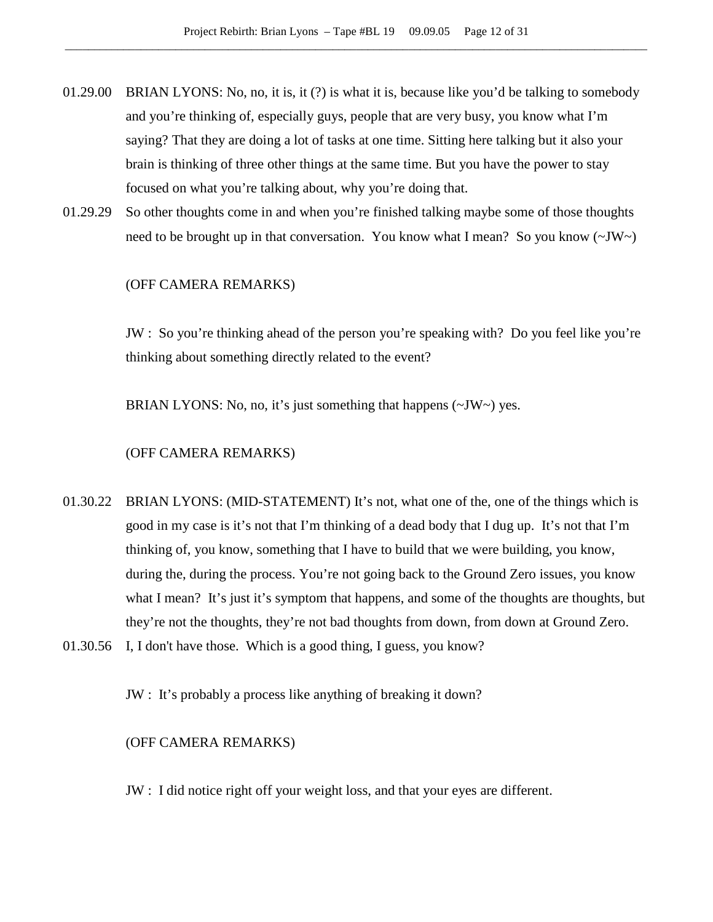- 01.29.00 BRIAN LYONS: No, no, it is, it (?) is what it is, because like you'd be talking to somebody and you're thinking of, especially guys, people that are very busy, you know what I'm saying? That they are doing a lot of tasks at one time. Sitting here talking but it also your brain is thinking of three other things at the same time. But you have the power to stay focused on what you're talking about, why you're doing that.
- 01.29.29 So other thoughts come in and when you're finished talking maybe some of those thoughts need to be brought up in that conversation. You know what I mean? So you know  $(\sim JW)$

## (OFF CAMERA REMARKS)

JW : So you're thinking ahead of the person you're speaking with? Do you feel like you're thinking about something directly related to the event?

BRIAN LYONS: No, no, it's just something that happens  $(\sim JW \sim)$  yes.

### (OFF CAMERA REMARKS)

- 01.30.22 BRIAN LYONS: (MID-STATEMENT) It's not, what one of the, one of the things which is good in my case is it's not that I'm thinking of a dead body that I dug up. It's not that I'm thinking of, you know, something that I have to build that we were building, you know, during the, during the process. You're not going back to the Ground Zero issues, you know what I mean? It's just it's symptom that happens, and some of the thoughts are thoughts, but they're not the thoughts, they're not bad thoughts from down, from down at Ground Zero.
- 01.30.56 I, I don't have those. Which is a good thing, I guess, you know?

JW : It's probably a process like anything of breaking it down?

## (OFF CAMERA REMARKS)

JW : I did notice right off your weight loss, and that your eyes are different.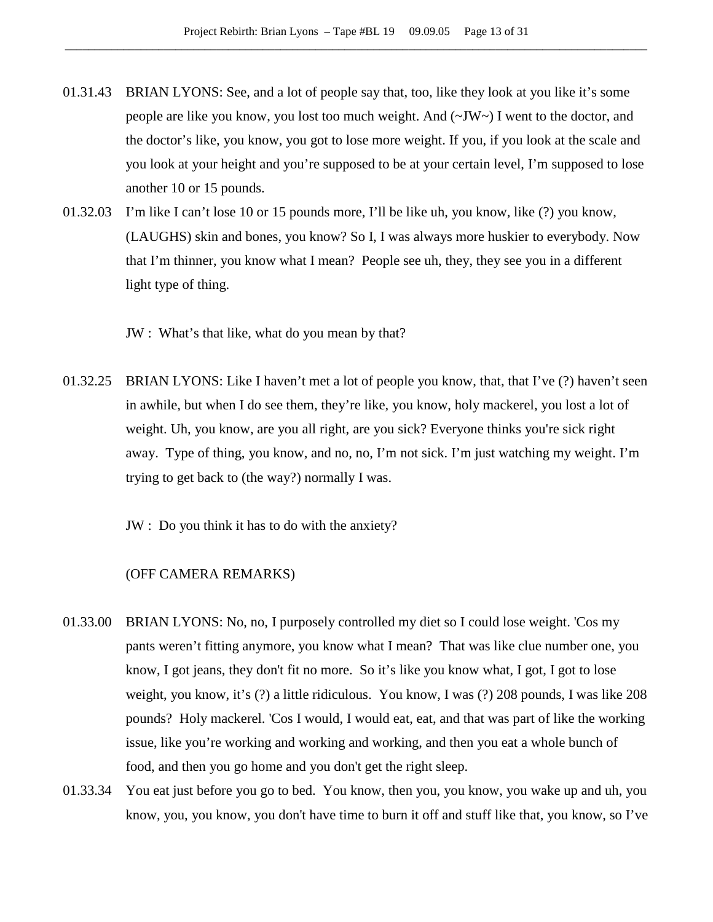- 01.31.43 BRIAN LYONS: See, and a lot of people say that, too, like they look at you like it's some people are like you know, you lost too much weight. And (~JW~) I went to the doctor, and the doctor's like, you know, you got to lose more weight. If you, if you look at the scale and you look at your height and you're supposed to be at your certain level, I'm supposed to lose another 10 or 15 pounds.
- 01.32.03 I'm like I can't lose 10 or 15 pounds more, I'll be like uh, you know, like (?) you know, (LAUGHS) skin and bones, you know? So I, I was always more huskier to everybody. Now that I'm thinner, you know what I mean? People see uh, they, they see you in a different light type of thing.

JW : What's that like, what do you mean by that?

01.32.25 BRIAN LYONS: Like I haven't met a lot of people you know, that, that I've (?) haven't seen in awhile, but when I do see them, they're like, you know, holy mackerel, you lost a lot of weight. Uh, you know, are you all right, are you sick? Everyone thinks you're sick right away. Type of thing, you know, and no, no, I'm not sick. I'm just watching my weight. I'm trying to get back to (the way?) normally I was.

JW : Do you think it has to do with the anxiety?

### (OFF CAMERA REMARKS)

- 01.33.00 BRIAN LYONS: No, no, I purposely controlled my diet so I could lose weight. 'Cos my pants weren't fitting anymore, you know what I mean? That was like clue number one, you know, I got jeans, they don't fit no more. So it's like you know what, I got, I got to lose weight, you know, it's (?) a little ridiculous. You know, I was (?) 208 pounds, I was like 208 pounds? Holy mackerel. 'Cos I would, I would eat, eat, and that was part of like the working issue, like you're working and working and working, and then you eat a whole bunch of food, and then you go home and you don't get the right sleep.
- 01.33.34 You eat just before you go to bed. You know, then you, you know, you wake up and uh, you know, you, you know, you don't have time to burn it off and stuff like that, you know, so I've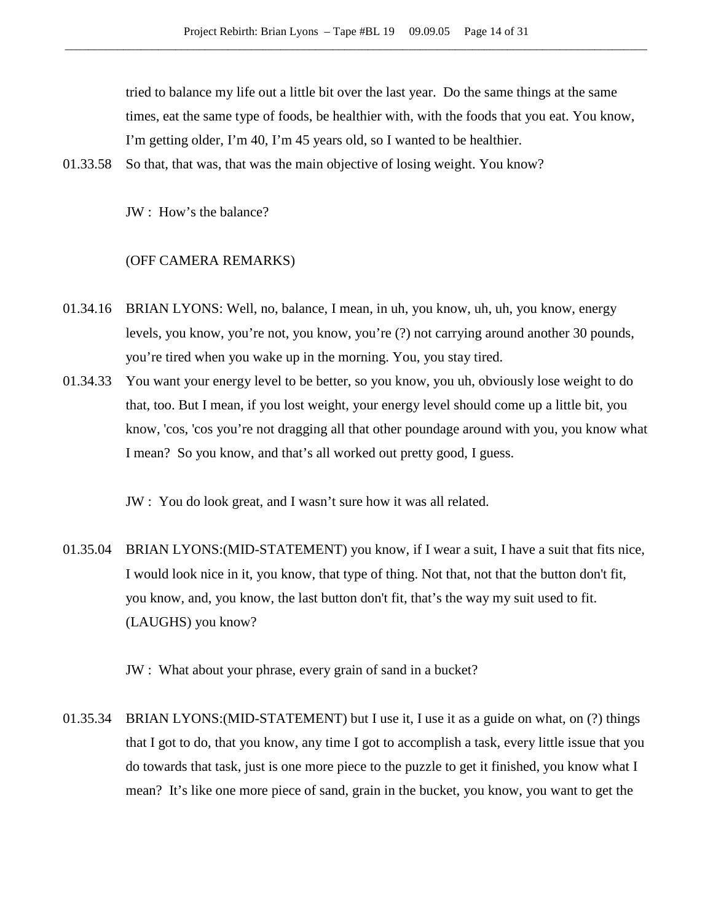tried to balance my life out a little bit over the last year. Do the same things at the same times, eat the same type of foods, be healthier with, with the foods that you eat. You know, I'm getting older, I'm 40, I'm 45 years old, so I wanted to be healthier.

01.33.58 So that, that was, that was the main objective of losing weight. You know?

JW : How's the balance?

#### (OFF CAMERA REMARKS)

- 01.34.16 BRIAN LYONS: Well, no, balance, I mean, in uh, you know, uh, uh, you know, energy levels, you know, you're not, you know, you're (?) not carrying around another 30 pounds, you're tired when you wake up in the morning. You, you stay tired.
- 01.34.33 You want your energy level to be better, so you know, you uh, obviously lose weight to do that, too. But I mean, if you lost weight, your energy level should come up a little bit, you know, 'cos, 'cos you're not dragging all that other poundage around with you, you know what I mean? So you know, and that's all worked out pretty good, I guess.

JW : You do look great, and I wasn't sure how it was all related.

01.35.04 BRIAN LYONS:(MID-STATEMENT) you know, if I wear a suit, I have a suit that fits nice, I would look nice in it, you know, that type of thing. Not that, not that the button don't fit, you know, and, you know, the last button don't fit, that's the way my suit used to fit. (LAUGHS) you know?

JW : What about your phrase, every grain of sand in a bucket?

01.35.34 BRIAN LYONS:(MID-STATEMENT) but I use it, I use it as a guide on what, on (?) things that I got to do, that you know, any time I got to accomplish a task, every little issue that you do towards that task, just is one more piece to the puzzle to get it finished, you know what I mean? It's like one more piece of sand, grain in the bucket, you know, you want to get the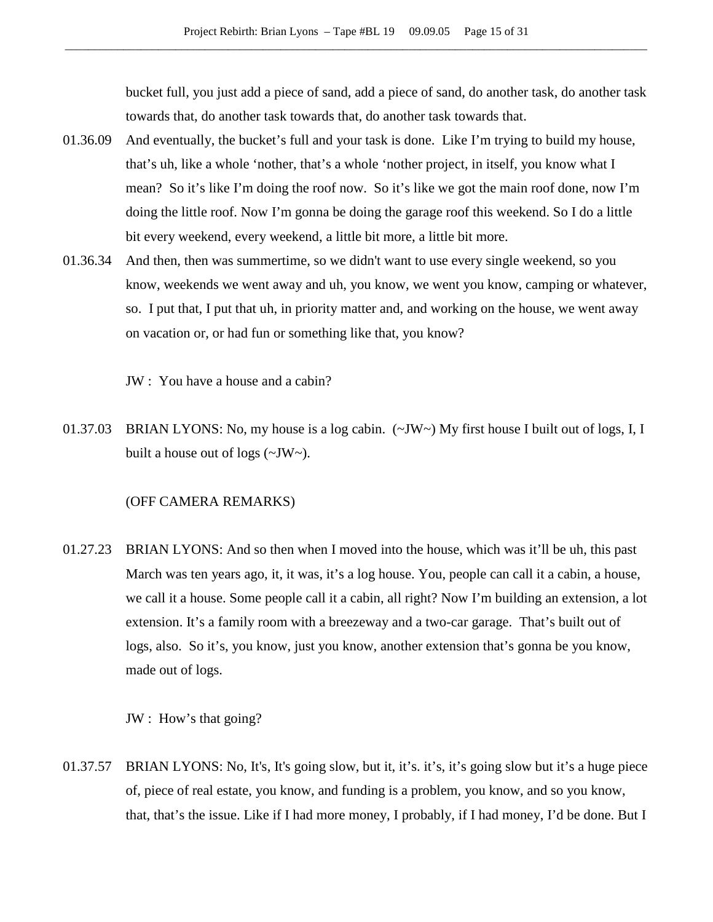bucket full, you just add a piece of sand, add a piece of sand, do another task, do another task towards that, do another task towards that, do another task towards that.

- 01.36.09 And eventually, the bucket's full and your task is done. Like I'm trying to build my house, that's uh, like a whole 'nother, that's a whole 'nother project, in itself, you know what I mean? So it's like I'm doing the roof now. So it's like we got the main roof done, now I'm doing the little roof. Now I'm gonna be doing the garage roof this weekend. So I do a little bit every weekend, every weekend, a little bit more, a little bit more.
- 01.36.34 And then, then was summertime, so we didn't want to use every single weekend, so you know, weekends we went away and uh, you know, we went you know, camping or whatever, so. I put that, I put that uh, in priority matter and, and working on the house, we went away on vacation or, or had fun or something like that, you know?

JW : You have a house and a cabin?

01.37.03 BRIAN LYONS: No, my house is a log cabin. (~JW~) My first house I built out of logs, I, I built a house out of logs (~JW~).

## (OFF CAMERA REMARKS)

01.27.23 BRIAN LYONS: And so then when I moved into the house, which was it'll be uh, this past March was ten years ago, it, it was, it's a log house. You, people can call it a cabin, a house, we call it a house. Some people call it a cabin, all right? Now I'm building an extension, a lot extension. It's a family room with a breezeway and a two-car garage. That's built out of logs, also. So it's, you know, just you know, another extension that's gonna be you know, made out of logs.

JW : How's that going?

01.37.57 BRIAN LYONS: No, It's, It's going slow, but it, it's. it's, it's going slow but it's a huge piece of, piece of real estate, you know, and funding is a problem, you know, and so you know, that, that's the issue. Like if I had more money, I probably, if I had money, I'd be done. But I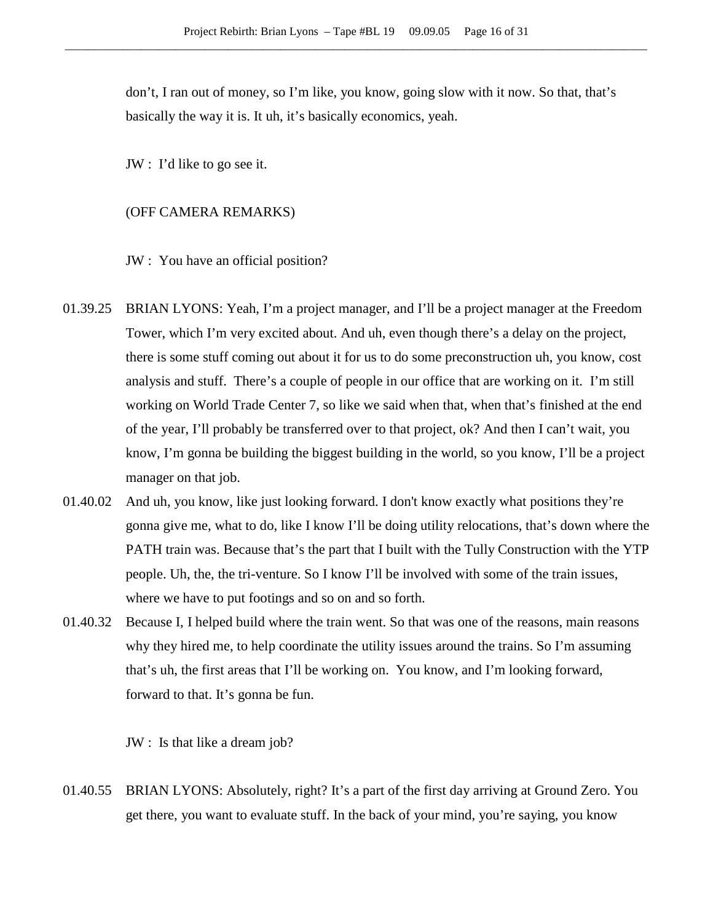don't, I ran out of money, so I'm like, you know, going slow with it now. So that, that's basically the way it is. It uh, it's basically economics, yeah.

JW : I'd like to go see it.

### (OFF CAMERA REMARKS)

JW : You have an official position?

- 01.39.25 BRIAN LYONS: Yeah, I'm a project manager, and I'll be a project manager at the Freedom Tower, which I'm very excited about. And uh, even though there's a delay on the project, there is some stuff coming out about it for us to do some preconstruction uh, you know, cost analysis and stuff. There's a couple of people in our office that are working on it. I'm still working on World Trade Center 7, so like we said when that, when that's finished at the end of the year, I'll probably be transferred over to that project, ok? And then I can't wait, you know, I'm gonna be building the biggest building in the world, so you know, I'll be a project manager on that job.
- 01.40.02 And uh, you know, like just looking forward. I don't know exactly what positions they're gonna give me, what to do, like I know I'll be doing utility relocations, that's down where the PATH train was. Because that's the part that I built with the Tully Construction with the YTP people. Uh, the, the tri-venture. So I know I'll be involved with some of the train issues, where we have to put footings and so on and so forth.
- 01.40.32 Because I, I helped build where the train went. So that was one of the reasons, main reasons why they hired me, to help coordinate the utility issues around the trains. So I'm assuming that's uh, the first areas that I'll be working on. You know, and I'm looking forward, forward to that. It's gonna be fun.

JW : Is that like a dream job?

01.40.55 BRIAN LYONS: Absolutely, right? It's a part of the first day arriving at Ground Zero. You get there, you want to evaluate stuff. In the back of your mind, you're saying, you know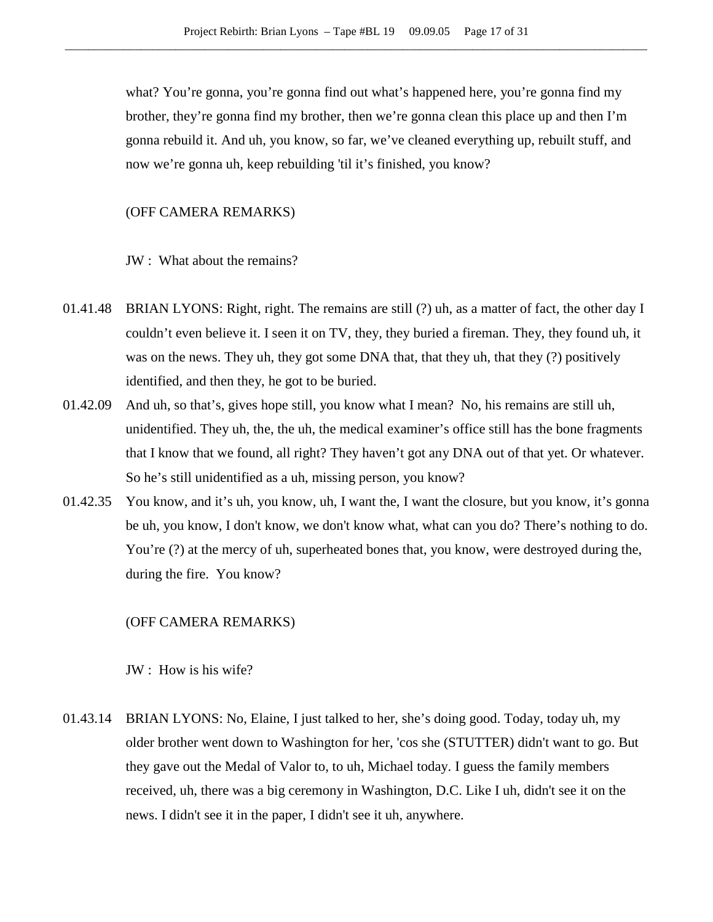what? You're gonna, you're gonna find out what's happened here, you're gonna find my brother, they're gonna find my brother, then we're gonna clean this place up and then I'm gonna rebuild it. And uh, you know, so far, we've cleaned everything up, rebuilt stuff, and now we're gonna uh, keep rebuilding 'til it's finished, you know?

(OFF CAMERA REMARKS)

JW : What about the remains?

- 01.41.48 BRIAN LYONS: Right, right. The remains are still (?) uh, as a matter of fact, the other day I couldn't even believe it. I seen it on TV, they, they buried a fireman. They, they found uh, it was on the news. They uh, they got some DNA that, that they uh, that they (?) positively identified, and then they, he got to be buried.
- 01.42.09 And uh, so that's, gives hope still, you know what I mean? No, his remains are still uh, unidentified. They uh, the, the uh, the medical examiner's office still has the bone fragments that I know that we found, all right? They haven't got any DNA out of that yet. Or whatever. So he's still unidentified as a uh, missing person, you know?
- 01.42.35 You know, and it's uh, you know, uh, I want the, I want the closure, but you know, it's gonna be uh, you know, I don't know, we don't know what, what can you do? There's nothing to do. You're  $(?)$  at the mercy of uh, superheated bones that, you know, were destroyed during the, during the fire. You know?

### (OFF CAMERA REMARKS)

JW : How is his wife?

01.43.14 BRIAN LYONS: No, Elaine, I just talked to her, she's doing good. Today, today uh, my older brother went down to Washington for her, 'cos she (STUTTER) didn't want to go. But they gave out the Medal of Valor to, to uh, Michael today. I guess the family members received, uh, there was a big ceremony in Washington, D.C. Like I uh, didn't see it on the news. I didn't see it in the paper, I didn't see it uh, anywhere.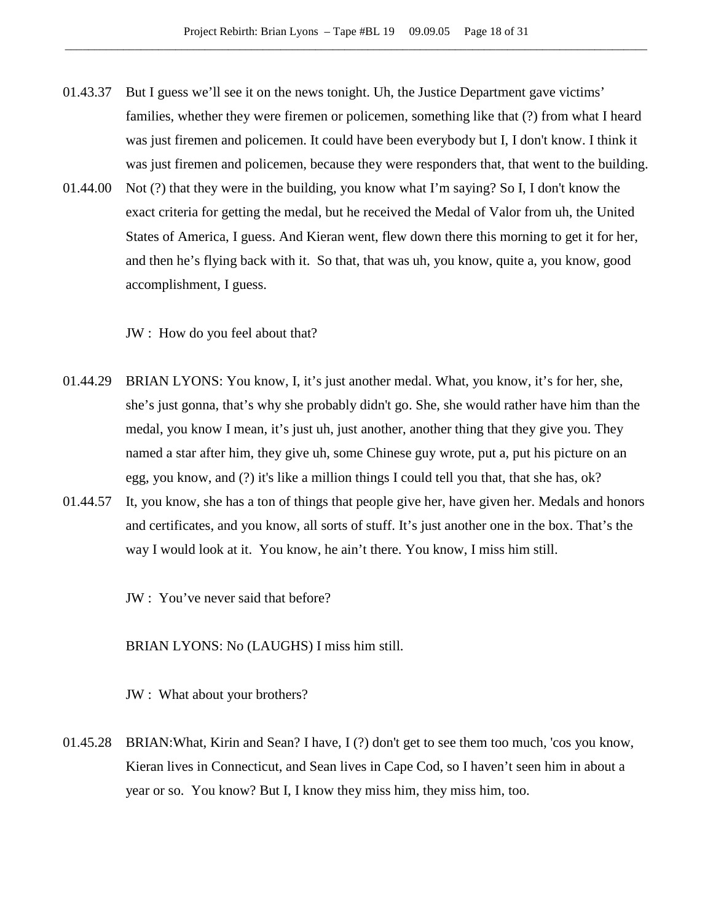- 01.43.37 But I guess we'll see it on the news tonight. Uh, the Justice Department gave victims' families, whether they were firemen or policemen, something like that (?) from what I heard was just firemen and policemen. It could have been everybody but I, I don't know. I think it was just firemen and policemen, because they were responders that, that went to the building.
- 01.44.00 Not (?) that they were in the building, you know what I'm saying? So I, I don't know the exact criteria for getting the medal, but he received the Medal of Valor from uh, the United States of America, I guess. And Kieran went, flew down there this morning to get it for her, and then he's flying back with it. So that, that was uh, you know, quite a, you know, good accomplishment, I guess.

JW : How do you feel about that?

- 01.44.29 BRIAN LYONS: You know, I, it's just another medal. What, you know, it's for her, she, she's just gonna, that's why she probably didn't go. She, she would rather have him than the medal, you know I mean, it's just uh, just another, another thing that they give you. They named a star after him, they give uh, some Chinese guy wrote, put a, put his picture on an egg, you know, and (?) it's like a million things I could tell you that, that she has, ok?
- 01.44.57 It, you know, she has a ton of things that people give her, have given her. Medals and honors and certificates, and you know, all sorts of stuff. It's just another one in the box. That's the way I would look at it. You know, he ain't there. You know, I miss him still.
	- JW : You've never said that before?

BRIAN LYONS: No (LAUGHS) I miss him still.

JW : What about your brothers?

01.45.28 BRIAN:What, Kirin and Sean? I have, I (?) don't get to see them too much, 'cos you know, Kieran lives in Connecticut, and Sean lives in Cape Cod, so I haven't seen him in about a year or so. You know? But I, I know they miss him, they miss him, too.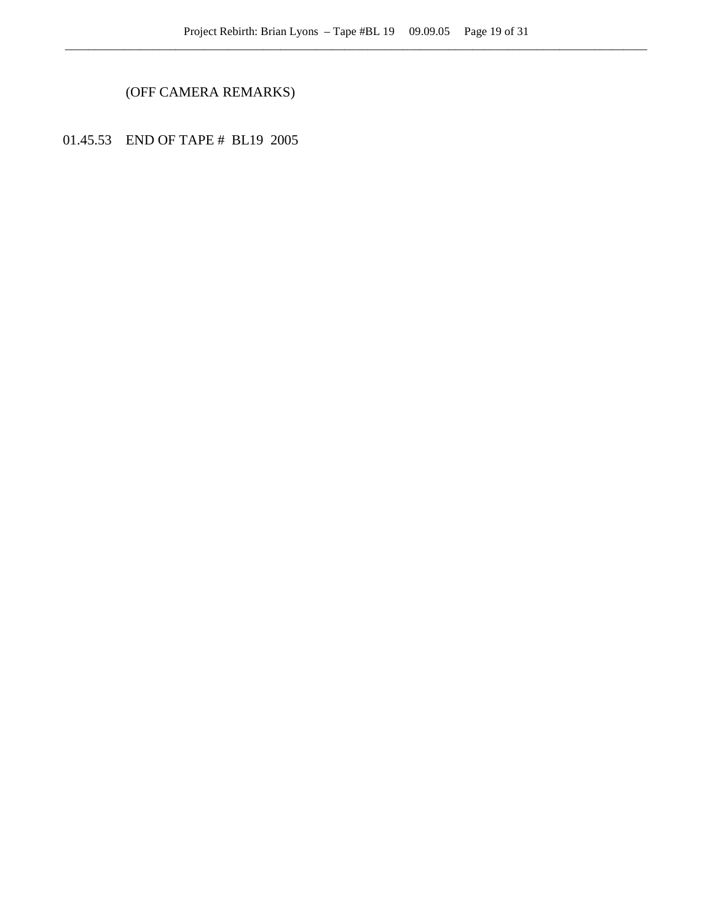# (OFF CAMERA REMARKS)

01.45.53 END OF TAPE # BL19 2005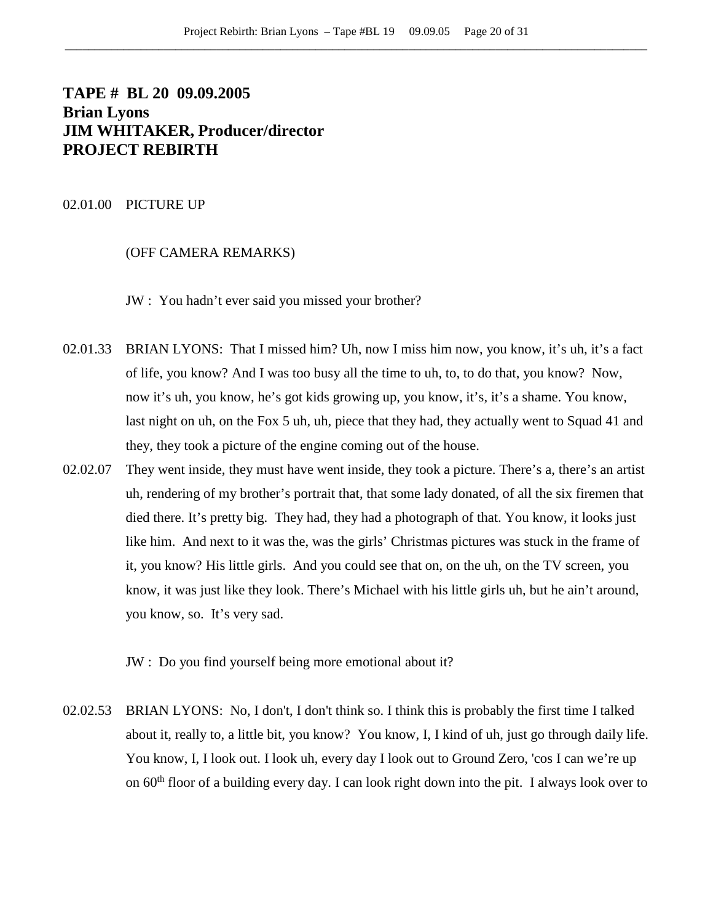# **TAPE # BL 20 09.09.2005 Brian Lyons JIM WHITAKER, Producer/director PROJECT REBIRTH**

### 02.01.00 PICTURE UP

## (OFF CAMERA REMARKS)

JW : You hadn't ever said you missed your brother?

- 02.01.33 BRIAN LYONS: That I missed him? Uh, now I miss him now, you know, it's uh, it's a fact of life, you know? And I was too busy all the time to uh, to, to do that, you know? Now, now it's uh, you know, he's got kids growing up, you know, it's, it's a shame. You know, last night on uh, on the Fox 5 uh, uh, piece that they had, they actually went to Squad 41 and they, they took a picture of the engine coming out of the house.
- 02.02.07 They went inside, they must have went inside, they took a picture. There's a, there's an artist uh, rendering of my brother's portrait that, that some lady donated, of all the six firemen that died there. It's pretty big. They had, they had a photograph of that. You know, it looks just like him. And next to it was the, was the girls' Christmas pictures was stuck in the frame of it, you know? His little girls. And you could see that on, on the uh, on the TV screen, you know, it was just like they look. There's Michael with his little girls uh, but he ain't around, you know, so. It's very sad.

JW : Do you find yourself being more emotional about it?

02.02.53 BRIAN LYONS: No, I don't, I don't think so. I think this is probably the first time I talked about it, really to, a little bit, you know? You know, I, I kind of uh, just go through daily life. You know, I, I look out. I look uh, every day I look out to Ground Zero, 'cos I can we're up on  $60<sup>th</sup>$  floor of a building every day. I can look right down into the pit. I always look over to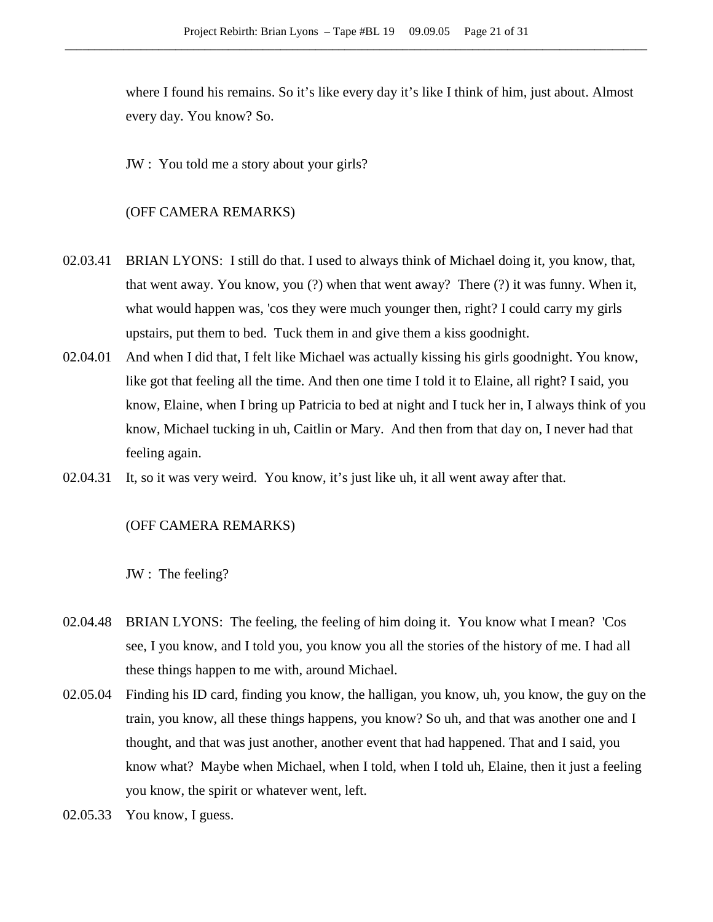where I found his remains. So it's like every day it's like I think of him, just about. Almost every day. You know? So.

JW : You told me a story about your girls?

## (OFF CAMERA REMARKS)

- 02.03.41 BRIAN LYONS: I still do that. I used to always think of Michael doing it, you know, that, that went away. You know, you (?) when that went away? There (?) it was funny. When it, what would happen was, 'cos they were much younger then, right? I could carry my girls upstairs, put them to bed. Tuck them in and give them a kiss goodnight.
- 02.04.01 And when I did that, I felt like Michael was actually kissing his girls goodnight. You know, like got that feeling all the time. And then one time I told it to Elaine, all right? I said, you know, Elaine, when I bring up Patricia to bed at night and I tuck her in, I always think of you know, Michael tucking in uh, Caitlin or Mary. And then from that day on, I never had that feeling again.
- 02.04.31 It, so it was very weird. You know, it's just like uh, it all went away after that.

### (OFF CAMERA REMARKS)

JW : The feeling?

- 02.04.48 BRIAN LYONS: The feeling, the feeling of him doing it. You know what I mean? 'Cos see, I you know, and I told you, you know you all the stories of the history of me. I had all these things happen to me with, around Michael.
- 02.05.04 Finding his ID card, finding you know, the halligan, you know, uh, you know, the guy on the train, you know, all these things happens, you know? So uh, and that was another one and I thought, and that was just another, another event that had happened. That and I said, you know what? Maybe when Michael, when I told, when I told uh, Elaine, then it just a feeling you know, the spirit or whatever went, left.
- 02.05.33 You know, I guess.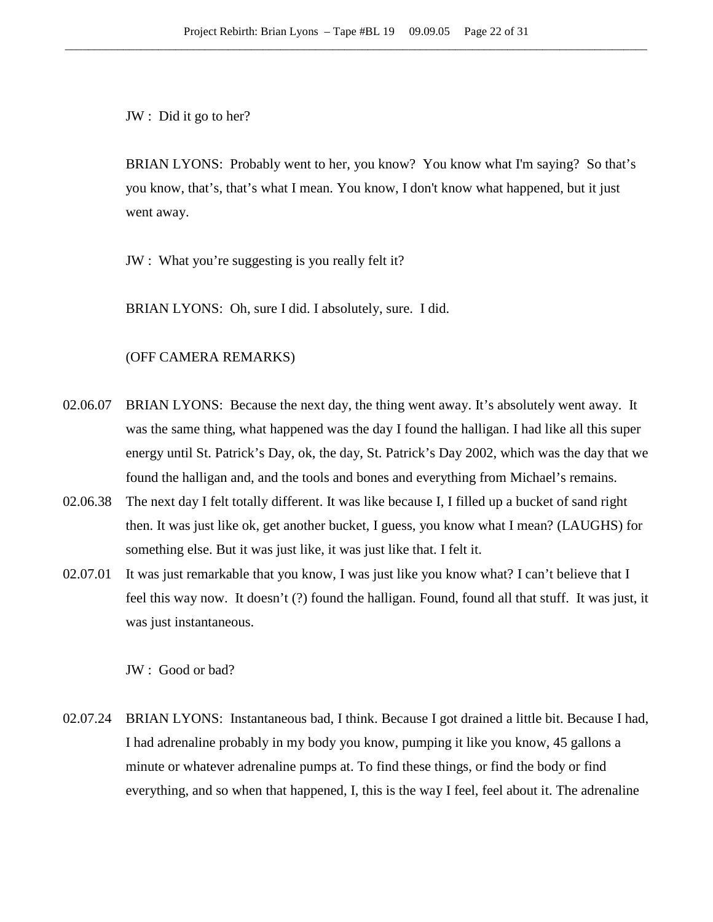JW : Did it go to her?

BRIAN LYONS: Probably went to her, you know? You know what I'm saying? So that's you know, that's, that's what I mean. You know, I don't know what happened, but it just went away.

JW : What you're suggesting is you really felt it?

BRIAN LYONS: Oh, sure I did. I absolutely, sure. I did.

### (OFF CAMERA REMARKS)

- 02.06.07 BRIAN LYONS: Because the next day, the thing went away. It's absolutely went away. It was the same thing, what happened was the day I found the halligan. I had like all this super energy until St. Patrick's Day, ok, the day, St. Patrick's Day 2002, which was the day that we found the halligan and, and the tools and bones and everything from Michael's remains.
- 02.06.38 The next day I felt totally different. It was like because I, I filled up a bucket of sand right then. It was just like ok, get another bucket, I guess, you know what I mean? (LAUGHS) for something else. But it was just like, it was just like that. I felt it.
- 02.07.01 It was just remarkable that you know, I was just like you know what? I can't believe that I feel this way now. It doesn't (?) found the halligan. Found, found all that stuff. It was just, it was just instantaneous.

JW : Good or bad?

02.07.24 BRIAN LYONS: Instantaneous bad, I think. Because I got drained a little bit. Because I had, I had adrenaline probably in my body you know, pumping it like you know, 45 gallons a minute or whatever adrenaline pumps at. To find these things, or find the body or find everything, and so when that happened, I, this is the way I feel, feel about it. The adrenaline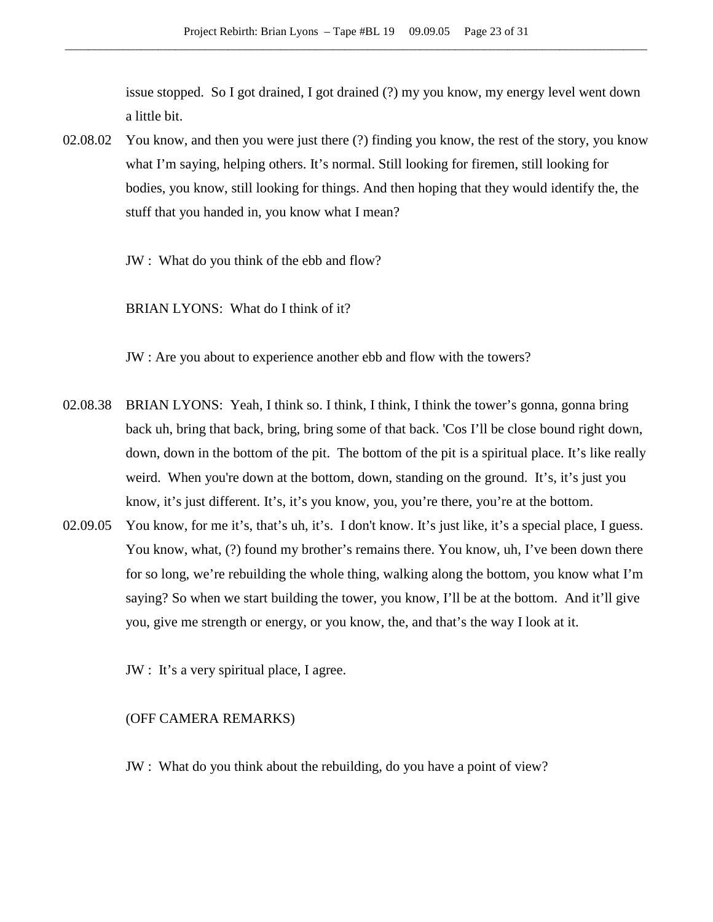issue stopped. So I got drained, I got drained (?) my you know, my energy level went down a little bit.

02.08.02 You know, and then you were just there (?) finding you know, the rest of the story, you know what I'm saying, helping others. It's normal. Still looking for firemen, still looking for bodies, you know, still looking for things. And then hoping that they would identify the, the stuff that you handed in, you know what I mean?

JW : What do you think of the ebb and flow?

BRIAN LYONS: What do I think of it?

JW : Are you about to experience another ebb and flow with the towers?

- 02.08.38 BRIAN LYONS: Yeah, I think so. I think, I think, I think the tower's gonna, gonna bring back uh, bring that back, bring, bring some of that back. 'Cos I'll be close bound right down, down, down in the bottom of the pit. The bottom of the pit is a spiritual place. It's like really weird. When you're down at the bottom, down, standing on the ground. It's, it's just you know, it's just different. It's, it's you know, you, you're there, you're at the bottom.
- 02.09.05 You know, for me it's, that's uh, it's. I don't know. It's just like, it's a special place, I guess. You know, what, (?) found my brother's remains there. You know, uh, I've been down there for so long, we're rebuilding the whole thing, walking along the bottom, you know what I'm saying? So when we start building the tower, you know, I'll be at the bottom. And it'll give you, give me strength or energy, or you know, the, and that's the way I look at it.

JW : It's a very spiritual place, I agree.

### (OFF CAMERA REMARKS)

JW : What do you think about the rebuilding, do you have a point of view?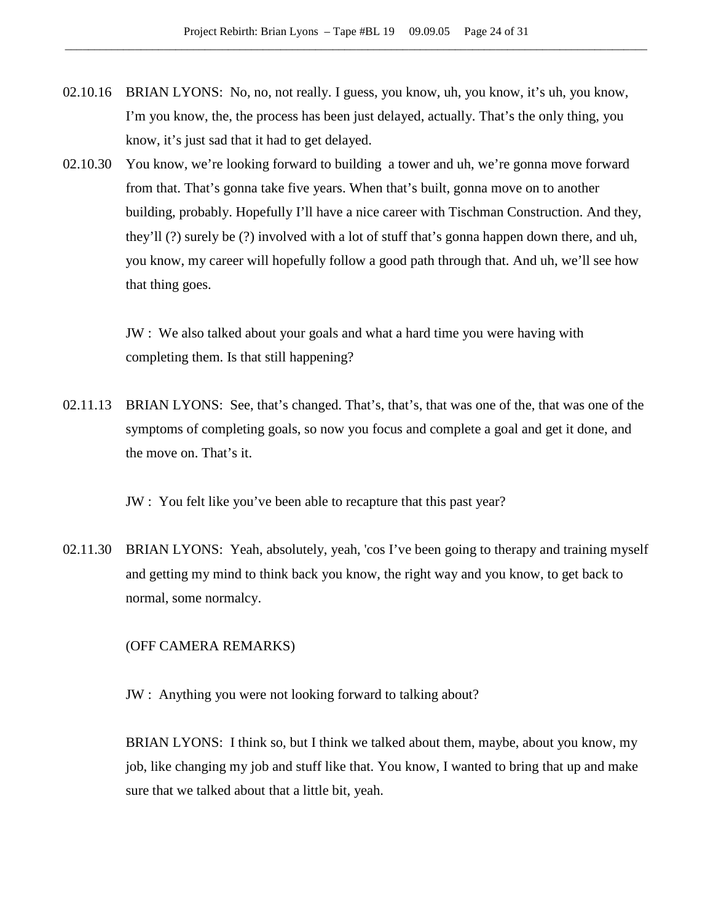- 02.10.16 BRIAN LYONS: No, no, not really. I guess, you know, uh, you know, it's uh, you know, I'm you know, the, the process has been just delayed, actually. That's the only thing, you know, it's just sad that it had to get delayed.
- 02.10.30 You know, we're looking forward to building a tower and uh, we're gonna move forward from that. That's gonna take five years. When that's built, gonna move on to another building, probably. Hopefully I'll have a nice career with Tischman Construction. And they, they'll (?) surely be (?) involved with a lot of stuff that's gonna happen down there, and uh, you know, my career will hopefully follow a good path through that. And uh, we'll see how that thing goes.

JW : We also talked about your goals and what a hard time you were having with completing them. Is that still happening?

02.11.13 BRIAN LYONS: See, that's changed. That's, that's, that was one of the, that was one of the symptoms of completing goals, so now you focus and complete a goal and get it done, and the move on. That's it.

JW : You felt like you've been able to recapture that this past year?

02.11.30 BRIAN LYONS: Yeah, absolutely, yeah, 'cos I've been going to therapy and training myself and getting my mind to think back you know, the right way and you know, to get back to normal, some normalcy.

### (OFF CAMERA REMARKS)

JW : Anything you were not looking forward to talking about?

BRIAN LYONS: I think so, but I think we talked about them, maybe, about you know, my job, like changing my job and stuff like that. You know, I wanted to bring that up and make sure that we talked about that a little bit, yeah.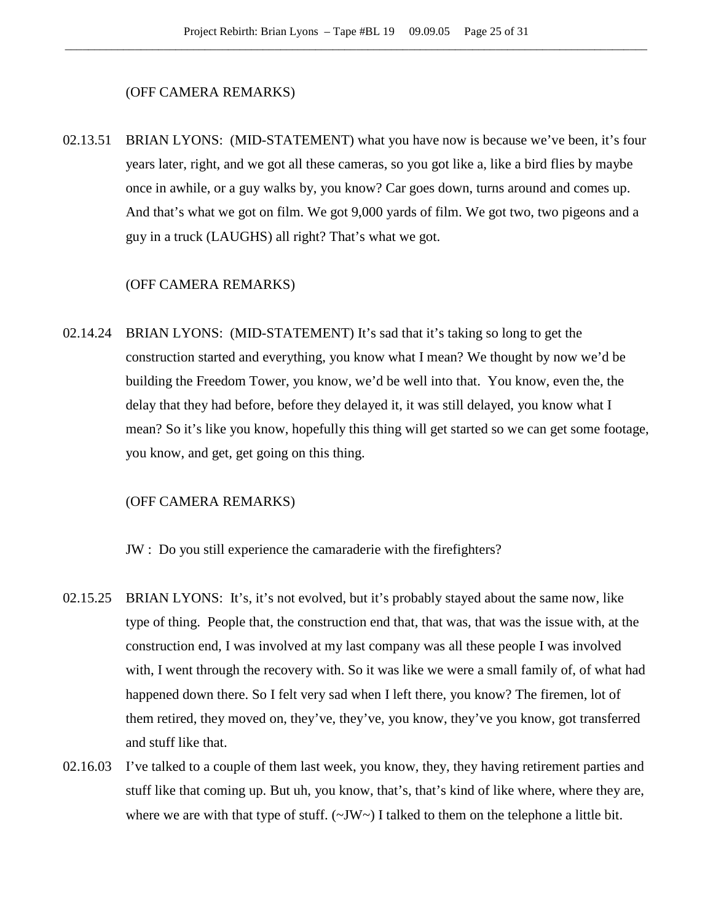## (OFF CAMERA REMARKS)

02.13.51 BRIAN LYONS: (MID-STATEMENT) what you have now is because we've been, it's four years later, right, and we got all these cameras, so you got like a, like a bird flies by maybe once in awhile, or a guy walks by, you know? Car goes down, turns around and comes up. And that's what we got on film. We got 9,000 yards of film. We got two, two pigeons and a guy in a truck (LAUGHS) all right? That's what we got.

## (OFF CAMERA REMARKS)

02.14.24 BRIAN LYONS: (MID-STATEMENT) It's sad that it's taking so long to get the construction started and everything, you know what I mean? We thought by now we'd be building the Freedom Tower, you know, we'd be well into that. You know, even the, the delay that they had before, before they delayed it, it was still delayed, you know what I mean? So it's like you know, hopefully this thing will get started so we can get some footage, you know, and get, get going on this thing.

### (OFF CAMERA REMARKS)

JW : Do you still experience the camaraderie with the firefighters?

- 02.15.25 BRIAN LYONS: It's, it's not evolved, but it's probably stayed about the same now, like type of thing. People that, the construction end that, that was, that was the issue with, at the construction end, I was involved at my last company was all these people I was involved with, I went through the recovery with. So it was like we were a small family of, of what had happened down there. So I felt very sad when I left there, you know? The firemen, lot of them retired, they moved on, they've, they've, you know, they've you know, got transferred and stuff like that.
- 02.16.03 I've talked to a couple of them last week, you know, they, they having retirement parties and stuff like that coming up. But uh, you know, that's, that's kind of like where, where they are, where we are with that type of stuff.  $(\sim JW \sim)$  I talked to them on the telephone a little bit.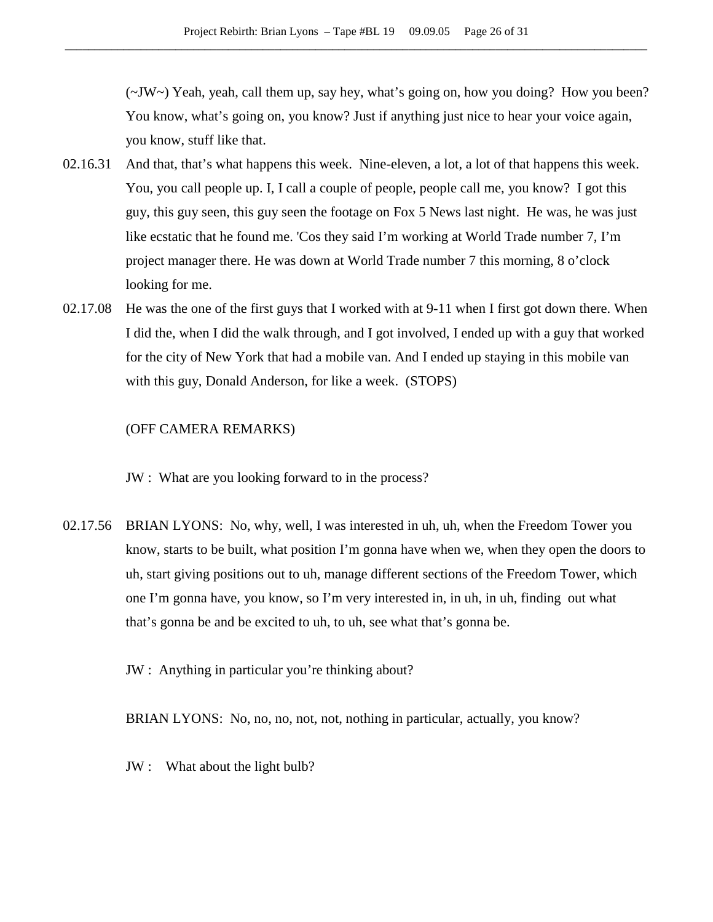(~JW~) Yeah, yeah, call them up, say hey, what's going on, how you doing? How you been? You know, what's going on, you know? Just if anything just nice to hear your voice again, you know, stuff like that.

- 02.16.31 And that, that's what happens this week. Nine-eleven, a lot, a lot of that happens this week. You, you call people up. I, I call a couple of people, people call me, you know? I got this guy, this guy seen, this guy seen the footage on Fox 5 News last night. He was, he was just like ecstatic that he found me. 'Cos they said I'm working at World Trade number 7, I'm project manager there. He was down at World Trade number 7 this morning, 8 o'clock looking for me.
- 02.17.08 He was the one of the first guys that I worked with at 9-11 when I first got down there. When I did the, when I did the walk through, and I got involved, I ended up with a guy that worked for the city of New York that had a mobile van. And I ended up staying in this mobile van with this guy, Donald Anderson, for like a week. (STOPS)

## (OFF CAMERA REMARKS)

JW : What are you looking forward to in the process?

02.17.56 BRIAN LYONS: No, why, well, I was interested in uh, uh, when the Freedom Tower you know, starts to be built, what position I'm gonna have when we, when they open the doors to uh, start giving positions out to uh, manage different sections of the Freedom Tower, which one I'm gonna have, you know, so I'm very interested in, in uh, in uh, finding out what that's gonna be and be excited to uh, to uh, see what that's gonna be.

JW : Anything in particular you're thinking about?

BRIAN LYONS: No, no, no, not, not, nothing in particular, actually, you know?

JW : What about the light bulb?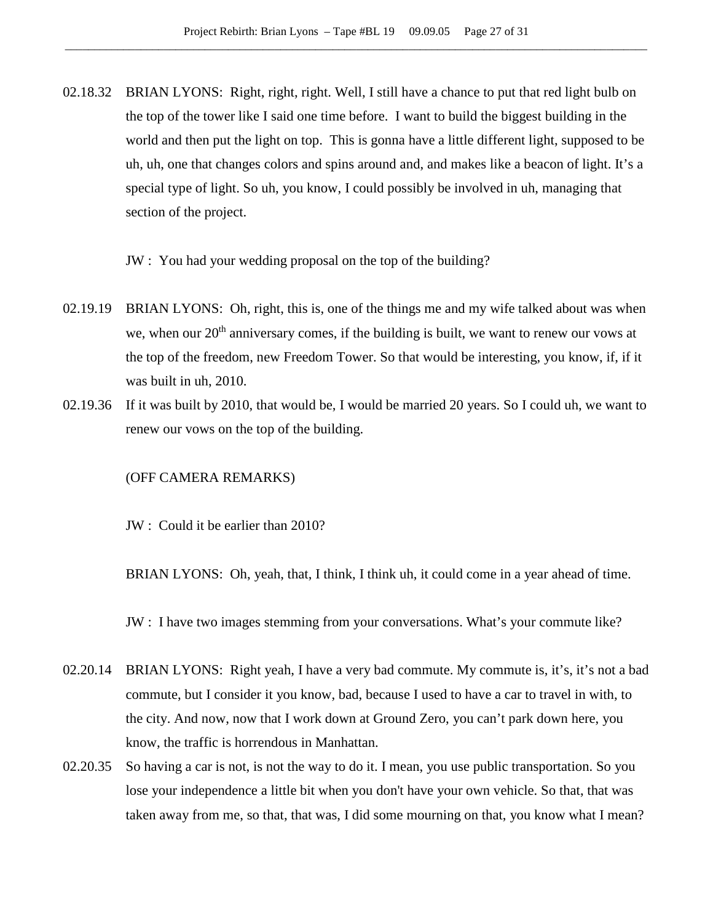02.18.32 BRIAN LYONS: Right, right, right. Well, I still have a chance to put that red light bulb on the top of the tower like I said one time before. I want to build the biggest building in the world and then put the light on top. This is gonna have a little different light, supposed to be uh, uh, one that changes colors and spins around and, and makes like a beacon of light. It's a special type of light. So uh, you know, I could possibly be involved in uh, managing that section of the project.

JW : You had your wedding proposal on the top of the building?

- 02.19.19 BRIAN LYONS: Oh, right, this is, one of the things me and my wife talked about was when we, when our  $20<sup>th</sup>$  anniversary comes, if the building is built, we want to renew our vows at the top of the freedom, new Freedom Tower. So that would be interesting, you know, if, if it was built in uh, 2010.
- 02.19.36 If it was built by 2010, that would be, I would be married 20 years. So I could uh, we want to renew our vows on the top of the building.

### (OFF CAMERA REMARKS)

JW : Could it be earlier than 2010?

BRIAN LYONS: Oh, yeah, that, I think, I think uh, it could come in a year ahead of time.

JW : I have two images stemming from your conversations. What's your commute like?

- 02.20.14 BRIAN LYONS: Right yeah, I have a very bad commute. My commute is, it's, it's not a bad commute, but I consider it you know, bad, because I used to have a car to travel in with, to the city. And now, now that I work down at Ground Zero, you can't park down here, you know, the traffic is horrendous in Manhattan.
- 02.20.35 So having a car is not, is not the way to do it. I mean, you use public transportation. So you lose your independence a little bit when you don't have your own vehicle. So that, that was taken away from me, so that, that was, I did some mourning on that, you know what I mean?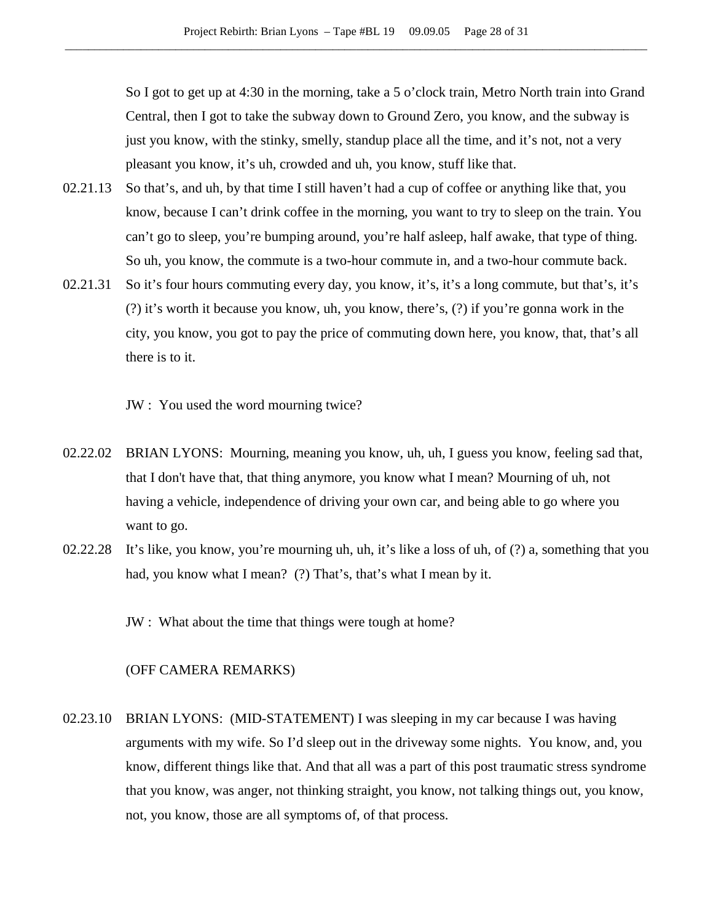So I got to get up at 4:30 in the morning, take a 5 o'clock train, Metro North train into Grand Central, then I got to take the subway down to Ground Zero, you know, and the subway is just you know, with the stinky, smelly, standup place all the time, and it's not, not a very pleasant you know, it's uh, crowded and uh, you know, stuff like that.

- 02.21.13 So that's, and uh, by that time I still haven't had a cup of coffee or anything like that, you know, because I can't drink coffee in the morning, you want to try to sleep on the train. You can't go to sleep, you're bumping around, you're half asleep, half awake, that type of thing. So uh, you know, the commute is a two-hour commute in, and a two-hour commute back.
- 02.21.31 So it's four hours commuting every day, you know, it's, it's a long commute, but that's, it's (?) it's worth it because you know, uh, you know, there's, (?) if you're gonna work in the city, you know, you got to pay the price of commuting down here, you know, that, that's all there is to it.
	- JW : You used the word mourning twice?
- 02.22.02 BRIAN LYONS: Mourning, meaning you know, uh, uh, I guess you know, feeling sad that, that I don't have that, that thing anymore, you know what I mean? Mourning of uh, not having a vehicle, independence of driving your own car, and being able to go where you want to go.
- 02.22.28 It's like, you know, you're mourning uh, uh, it's like a loss of uh, of (?) a, something that you had, you know what I mean? (?) That's, that's what I mean by it.

JW : What about the time that things were tough at home?

#### (OFF CAMERA REMARKS)

02.23.10 BRIAN LYONS: (MID-STATEMENT) I was sleeping in my car because I was having arguments with my wife. So I'd sleep out in the driveway some nights. You know, and, you know, different things like that. And that all was a part of this post traumatic stress syndrome that you know, was anger, not thinking straight, you know, not talking things out, you know, not, you know, those are all symptoms of, of that process.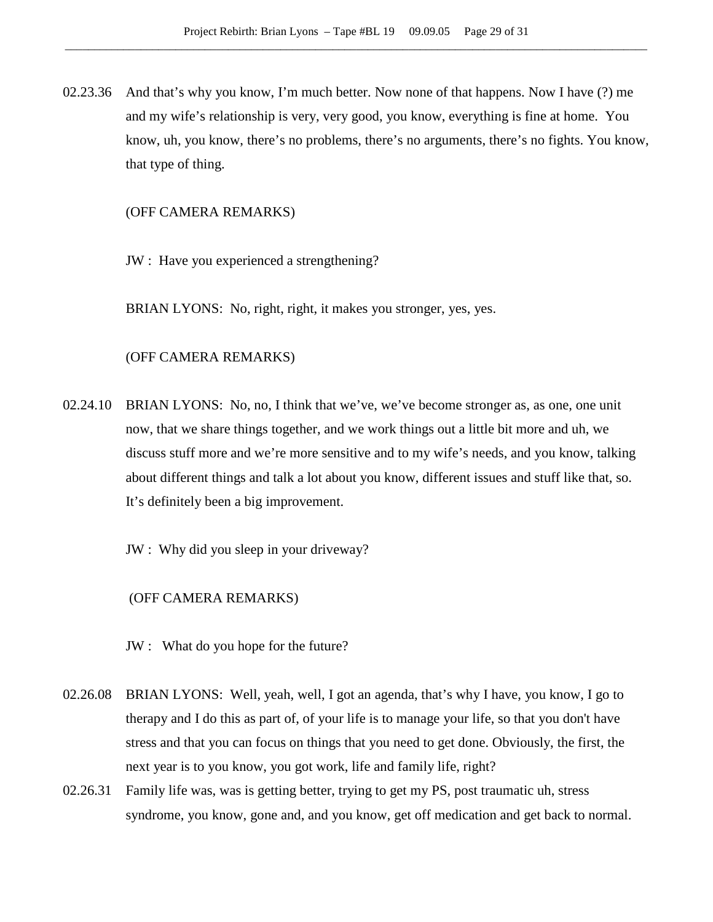02.23.36 And that's why you know, I'm much better. Now none of that happens. Now I have (?) me and my wife's relationship is very, very good, you know, everything is fine at home. You know, uh, you know, there's no problems, there's no arguments, there's no fights. You know, that type of thing.

### (OFF CAMERA REMARKS)

JW : Have you experienced a strengthening?

BRIAN LYONS: No, right, right, it makes you stronger, yes, yes.

### (OFF CAMERA REMARKS)

02.24.10 BRIAN LYONS: No, no, I think that we've, we've become stronger as, as one, one unit now, that we share things together, and we work things out a little bit more and uh, we discuss stuff more and we're more sensitive and to my wife's needs, and you know, talking about different things and talk a lot about you know, different issues and stuff like that, so. It's definitely been a big improvement.

JW : Why did you sleep in your driveway?

## (OFF CAMERA REMARKS)

- JW : What do you hope for the future?
- 02.26.08 BRIAN LYONS: Well, yeah, well, I got an agenda, that's why I have, you know, I go to therapy and I do this as part of, of your life is to manage your life, so that you don't have stress and that you can focus on things that you need to get done. Obviously, the first, the next year is to you know, you got work, life and family life, right?
- 02.26.31 Family life was, was is getting better, trying to get my PS, post traumatic uh, stress syndrome, you know, gone and, and you know, get off medication and get back to normal.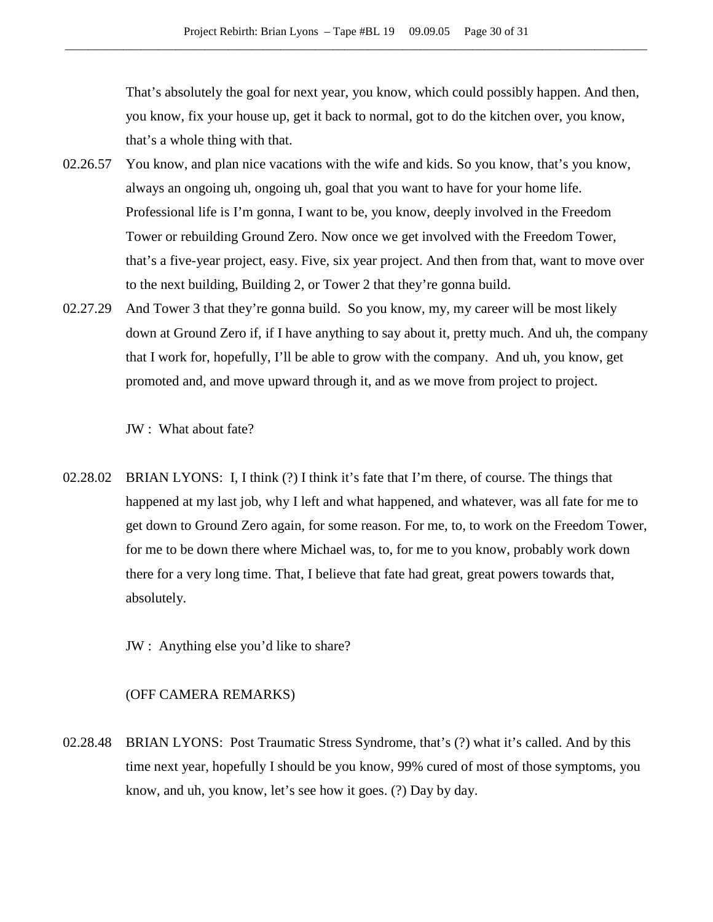That's absolutely the goal for next year, you know, which could possibly happen. And then, you know, fix your house up, get it back to normal, got to do the kitchen over, you know, that's a whole thing with that.

- 02.26.57 You know, and plan nice vacations with the wife and kids. So you know, that's you know, always an ongoing uh, ongoing uh, goal that you want to have for your home life. Professional life is I'm gonna, I want to be, you know, deeply involved in the Freedom Tower or rebuilding Ground Zero. Now once we get involved with the Freedom Tower, that's a five-year project, easy. Five, six year project. And then from that, want to move over to the next building, Building 2, or Tower 2 that they're gonna build.
- 02.27.29 And Tower 3 that they're gonna build. So you know, my, my career will be most likely down at Ground Zero if, if I have anything to say about it, pretty much. And uh, the company that I work for, hopefully, I'll be able to grow with the company. And uh, you know, get promoted and, and move upward through it, and as we move from project to project.

JW : What about fate?

02.28.02 BRIAN LYONS: I, I think (?) I think it's fate that I'm there, of course. The things that happened at my last job, why I left and what happened, and whatever, was all fate for me to get down to Ground Zero again, for some reason. For me, to, to work on the Freedom Tower, for me to be down there where Michael was, to, for me to you know, probably work down there for a very long time. That, I believe that fate had great, great powers towards that, absolutely.

JW : Anything else you'd like to share?

## (OFF CAMERA REMARKS)

02.28.48 BRIAN LYONS: Post Traumatic Stress Syndrome, that's (?) what it's called. And by this time next year, hopefully I should be you know, 99% cured of most of those symptoms, you know, and uh, you know, let's see how it goes. (?) Day by day.